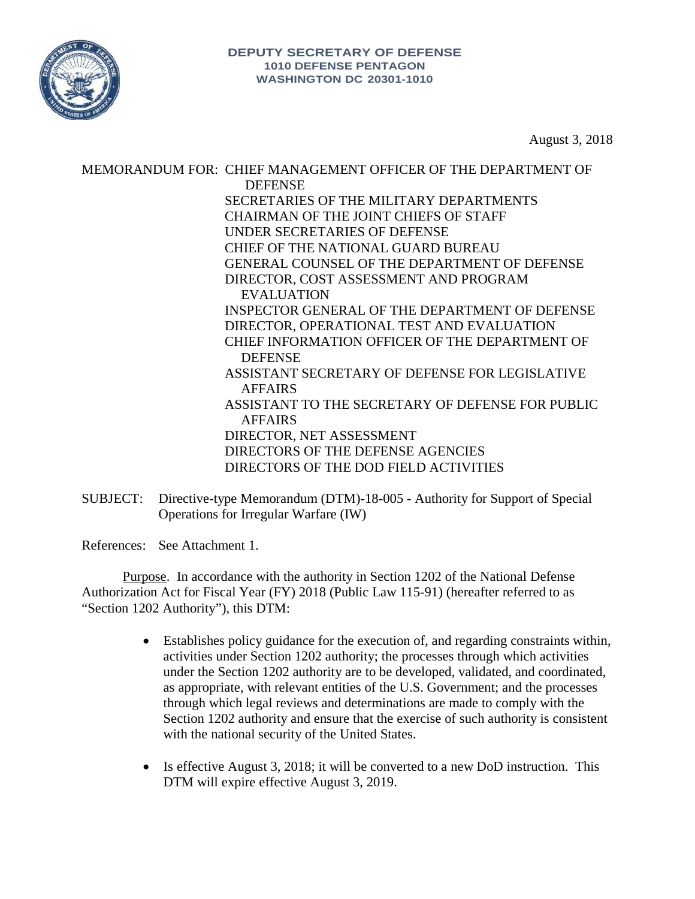

August 3, 2018

MEMORANDUM FOR: CHIEF MANAGEMENT OFFICER OF THE DEPARTMENT OF **DEFENSE** SECRETARIES OF THE MILITARY DEPARTMENTS CHAIRMAN OF THE JOINT CHIEFS OF STAFF UNDER SECRETARIES OF DEFENSE CHIEF OF THE NATIONAL GUARD BUREAU GENERAL COUNSEL OF THE DEPARTMENT OF DEFENSE DIRECTOR, COST ASSESSMENT AND PROGRAM EVALUATION INSPECTOR GENERAL OF THE DEPARTMENT OF DEFENSE DIRECTOR, OPERATIONAL TEST AND EVALUATION CHIEF INFORMATION OFFICER OF THE DEPARTMENT OF DEFENSE ASSISTANT SECRETARY OF DEFENSE FOR LEGISLATIVE AFFAIRS ASSISTANT TO THE SECRETARY OF DEFENSE FOR PUBLIC AFFAIRS DIRECTOR, NET ASSESSMENT DIRECTORS OF THE DEFENSE AGENCIES DIRECTORS OF THE DOD FIELD ACTIVITIES

SUBJECT: Directive-type Memorandum (DTM)-18-005 - Authority for Support of Special Operations for Irregular Warfare (IW)

References: See Attachment 1.

Purpose. In accordance with the authority in Section 1202 of the National Defense Authorization Act for Fiscal Year (FY) 2018 (Public Law 115-91) (hereafter referred to as "Section 1202 Authority"), this DTM:

- Establishes policy guidance for the execution of, and regarding constraints within, activities under Section 1202 authority; the processes through which activities under the Section 1202 authority are to be developed, validated, and coordinated, as appropriate, with relevant entities of the U.S. Government; and the processes through which legal reviews and determinations are made to comply with the Section 1202 authority and ensure that the exercise of such authority is consistent with the national security of the United States.
- Is effective August 3, 2018; it will be converted to a new DoD instruction. This DTM will expire effective August 3, 2019.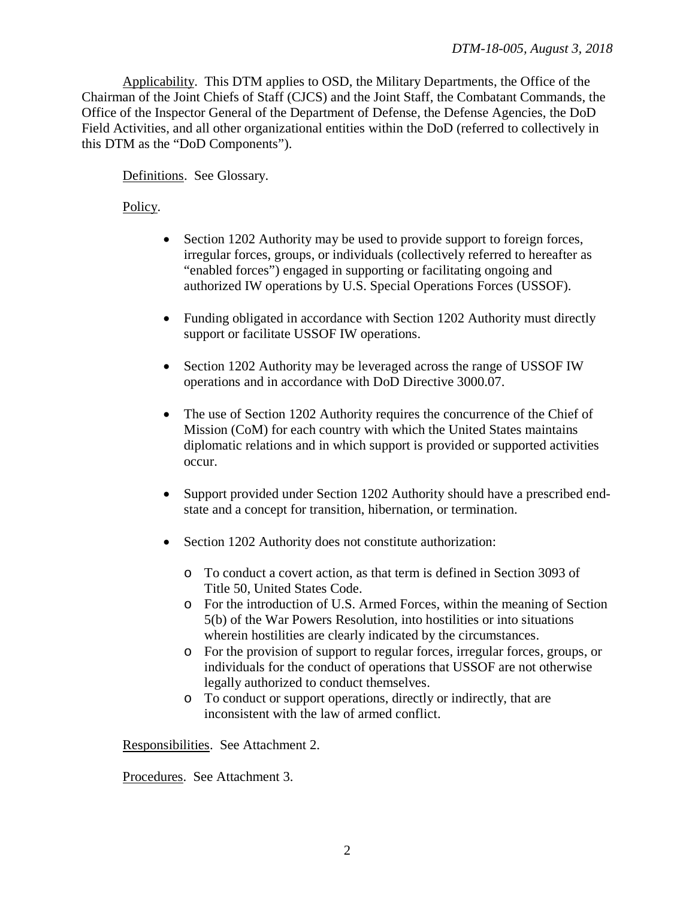Applicability. This DTM applies to OSD, the Military Departments, the Office of the Chairman of the Joint Chiefs of Staff (CJCS) and the Joint Staff, the Combatant Commands, the Office of the Inspector General of the Department of Defense, the Defense Agencies, the DoD Field Activities, and all other organizational entities within the DoD (referred to collectively in this DTM as the "DoD Components").

Definitions. See Glossary.

Policy.

- Section 1202 Authority may be used to provide support to foreign forces, irregular forces, groups, or individuals (collectively referred to hereafter as "enabled forces") engaged in supporting or facilitating ongoing and authorized IW operations by U.S. Special Operations Forces (USSOF).
- Funding obligated in accordance with Section 1202 Authority must directly support or facilitate USSOF IW operations.
- Section 1202 Authority may be leveraged across the range of USSOF IW operations and in accordance with DoD Directive 3000.07.
- The use of Section 1202 Authority requires the concurrence of the Chief of Mission (CoM) for each country with which the United States maintains diplomatic relations and in which support is provided or supported activities occur.
- Support provided under Section 1202 Authority should have a prescribed endstate and a concept for transition, hibernation, or termination.
- Section 1202 Authority does not constitute authorization:
	- o To conduct a covert action, as that term is defined in Section 3093 of Title 50, United States Code.
	- o For the introduction of U.S. Armed Forces, within the meaning of Section 5(b) of the War Powers Resolution, into hostilities or into situations wherein hostilities are clearly indicated by the circumstances.
	- o For the provision of support to regular forces, irregular forces, groups, or individuals for the conduct of operations that USSOF are not otherwise legally authorized to conduct themselves.
	- o To conduct or support operations, directly or indirectly, that are inconsistent with the law of armed conflict.

Responsibilities. See Attachment 2.

Procedures. See Attachment 3.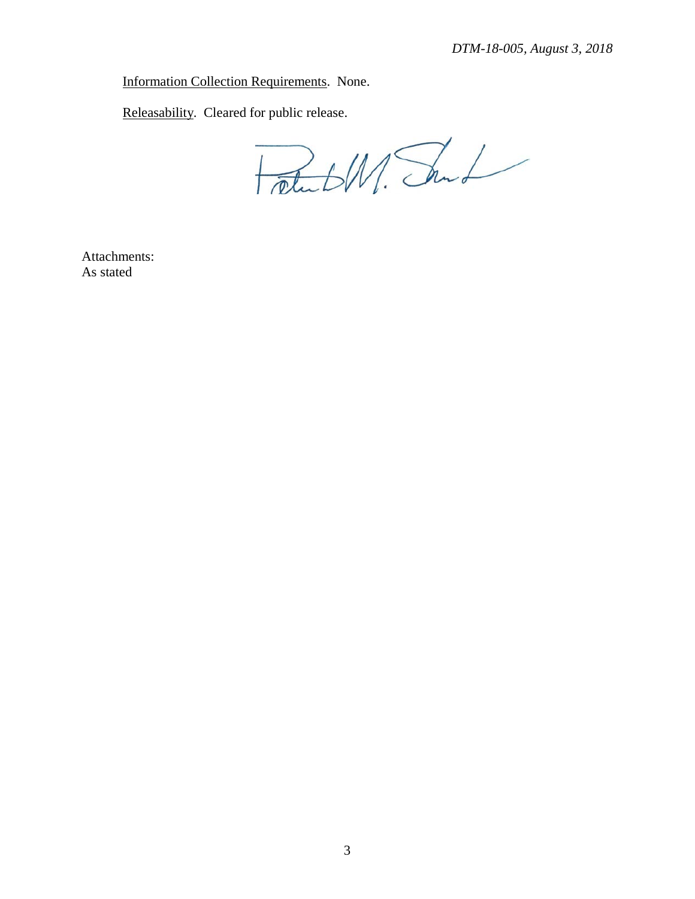Information Collection Requirements. None.

Releasability. Cleared for public release.

FateW. Sund

Attachments: As stated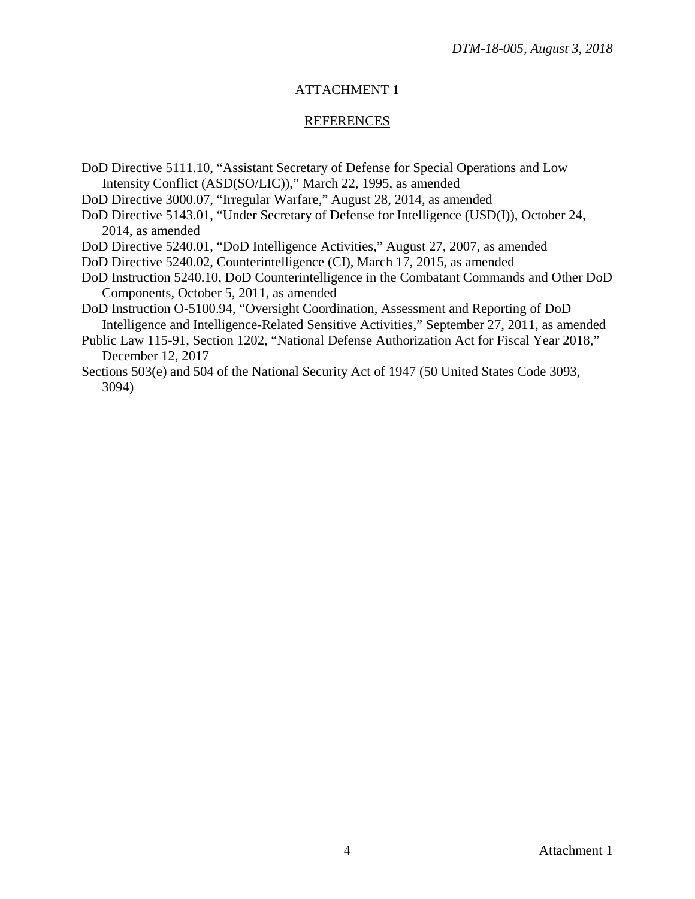# ATTACHMENT 1

### REFERENCES

- DoD Directive 5111.10, "Assistant Secretary of Defense for Special Operations and Low Intensity Conflict (ASD(SO/LIC))," March 22, 1995, as amended
- DoD Directive 3000.07, "Irregular Warfare," August 28, 2014, as amended
- DoD Directive 5143.01, "Under Secretary of Defense for Intelligence (USD(I)), October 24, 2014, as amended

DoD Directive 5240.01, "DoD Intelligence Activities," August 27, 2007, as amended

- DoD Directive 5240.02, Counterintelligence (CI), March 17, 2015, as amended
- DoD Instruction 5240.10, DoD Counterintelligence in the Combatant Commands and Other DoD Components, October 5, 2011, as amended

DoD Instruction O-5100.94, "Oversight Coordination, Assessment and Reporting of DoD Intelligence and Intelligence-Related Sensitive Activities," September 27, 2011, as amended

Public Law 115-91, Section 1202, "National Defense Authorization Act for Fiscal Year 2018," December 12, 2017

Sections 503(e) and 504 of the National Security Act of 1947 (50 United States Code 3093, 3094)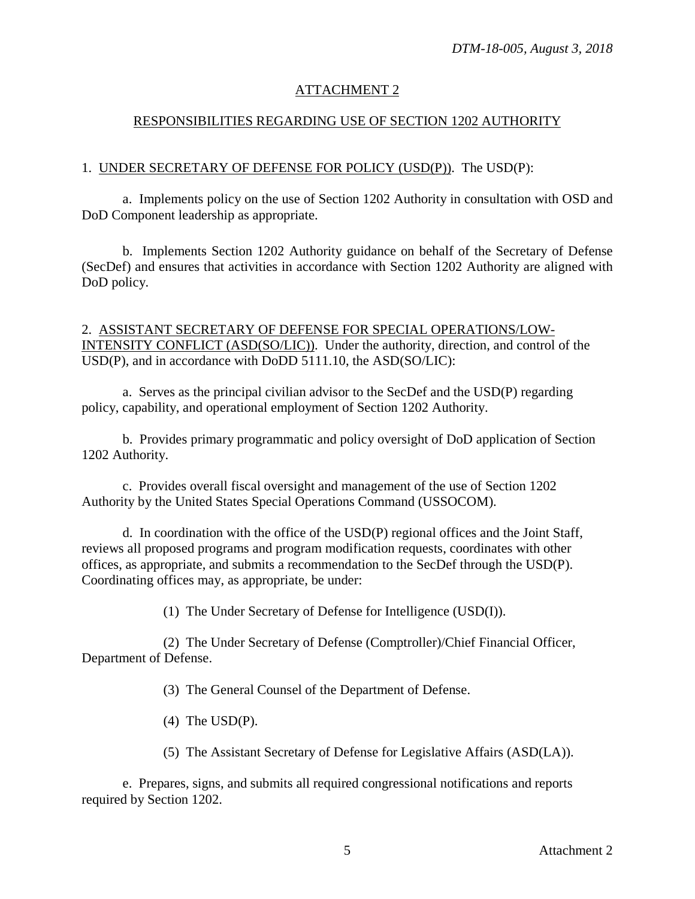# ATTACHMENT 2

## RESPONSIBILITIES REGARDING USE OF SECTION 1202 AUTHORITY

## 1. UNDER SECRETARY OF DEFENSE FOR POLICY (USD(P)). The USD(P):

a. Implements policy on the use of Section 1202 Authority in consultation with OSD and DoD Component leadership as appropriate.

b. Implements Section 1202 Authority guidance on behalf of the Secretary of Defense (SecDef) and ensures that activities in accordance with Section 1202 Authority are aligned with DoD policy.

## 2. ASSISTANT SECRETARY OF DEFENSE FOR SPECIAL OPERATIONS/LOW-INTENSITY CONFLICT (ASD(SO/LIC)). Under the authority, direction, and control of the USD(P), and in accordance with DoDD 5111.10, the ASD(SO/LIC):

a. Serves as the principal civilian advisor to the SecDef and the USD(P) regarding policy, capability, and operational employment of Section 1202 Authority.

b. Provides primary programmatic and policy oversight of DoD application of Section 1202 Authority.

c. Provides overall fiscal oversight and management of the use of Section 1202 Authority by the United States Special Operations Command (USSOCOM).

d. In coordination with the office of the USD(P) regional offices and the Joint Staff, reviews all proposed programs and program modification requests, coordinates with other offices, as appropriate, and submits a recommendation to the SecDef through the USD(P). Coordinating offices may, as appropriate, be under:

(1) The Under Secretary of Defense for Intelligence (USD(I)).

(2) The Under Secretary of Defense (Comptroller)/Chief Financial Officer, Department of Defense.

(3) The General Counsel of the Department of Defense.

(4) The USD(P).

(5) The Assistant Secretary of Defense for Legislative Affairs (ASD(LA)).

e. Prepares, signs, and submits all required congressional notifications and reports required by Section 1202.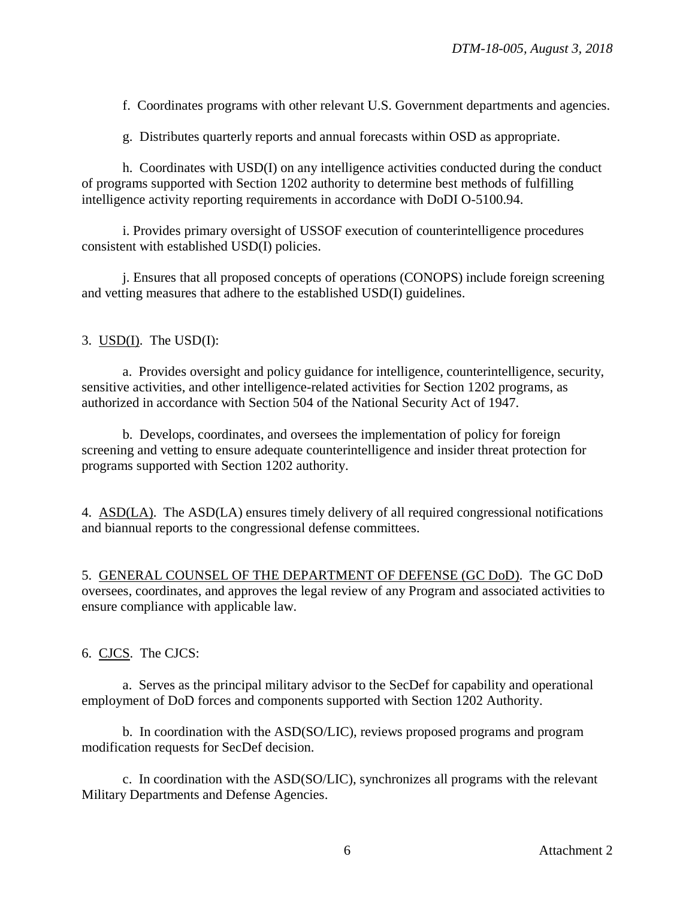f. Coordinates programs with other relevant U.S. Government departments and agencies.

g. Distributes quarterly reports and annual forecasts within OSD as appropriate.

h. Coordinates with USD(I) on any intelligence activities conducted during the conduct of programs supported with Section 1202 authority to determine best methods of fulfilling intelligence activity reporting requirements in accordance with DoDI O-5100.94.

i. Provides primary oversight of USSOF execution of counterintelligence procedures consistent with established USD(I) policies.

j. Ensures that all proposed concepts of operations (CONOPS) include foreign screening and vetting measures that adhere to the established USD(I) guidelines.

3.  $USD(I)$ . The  $USD(I)$ :

a. Provides oversight and policy guidance for intelligence, counterintelligence, security, sensitive activities, and other intelligence-related activities for Section 1202 programs, as authorized in accordance with Section 504 of the National Security Act of 1947.

b. Develops, coordinates, and oversees the implementation of policy for foreign screening and vetting to ensure adequate counterintelligence and insider threat protection for programs supported with Section 1202 authority.

4. ASD(LA). The ASD(LA) ensures timely delivery of all required congressional notifications and biannual reports to the congressional defense committees.

5. GENERAL COUNSEL OF THE DEPARTMENT OF DEFENSE (GC DoD). The GC DoD oversees, coordinates, and approves the legal review of any Program and associated activities to ensure compliance with applicable law.

6. CJCS. The CJCS:

a. Serves as the principal military advisor to the SecDef for capability and operational employment of DoD forces and components supported with Section 1202 Authority.

b. In coordination with the ASD(SO/LIC), reviews proposed programs and program modification requests for SecDef decision.

c. In coordination with the ASD(SO/LIC), synchronizes all programs with the relevant Military Departments and Defense Agencies.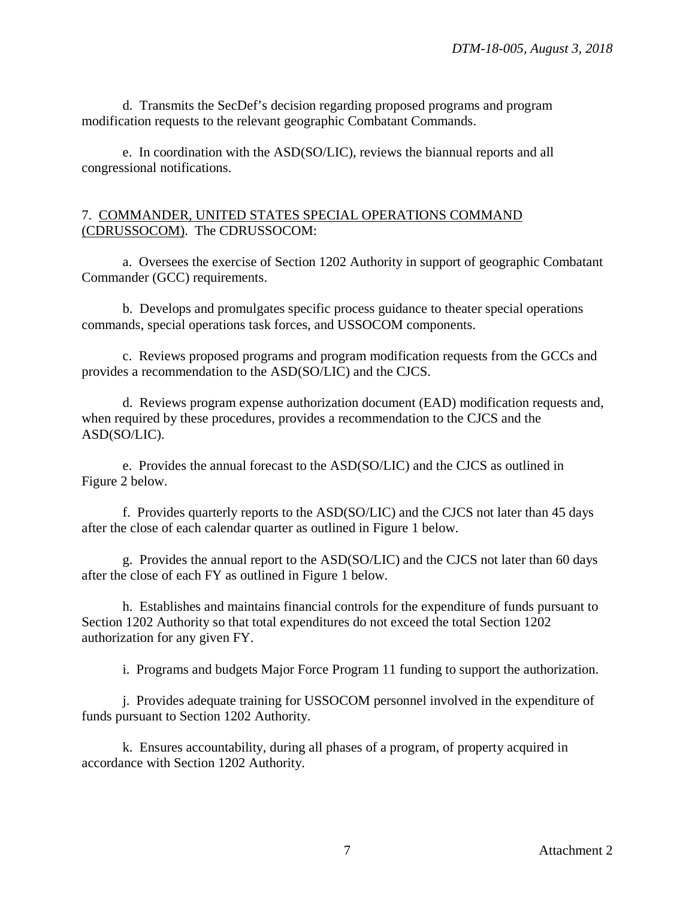d. Transmits the SecDef's decision regarding proposed programs and program modification requests to the relevant geographic Combatant Commands.

e. In coordination with the ASD(SO/LIC), reviews the biannual reports and all congressional notifications.

## 7. COMMANDER, UNITED STATES SPECIAL OPERATIONS COMMAND (CDRUSSOCOM). The CDRUSSOCOM:

a. Oversees the exercise of Section 1202 Authority in support of geographic Combatant Commander (GCC) requirements.

b. Develops and promulgates specific process guidance to theater special operations commands, special operations task forces, and USSOCOM components.

c. Reviews proposed programs and program modification requests from the GCCs and provides a recommendation to the ASD(SO/LIC) and the CJCS.

d. Reviews program expense authorization document (EAD) modification requests and, when required by these procedures, provides a recommendation to the CJCS and the ASD(SO/LIC).

e. Provides the annual forecast to the ASD(SO/LIC) and the CJCS as outlined in Figure 2 below.

f. Provides quarterly reports to the ASD(SO/LIC) and the CJCS not later than 45 days after the close of each calendar quarter as outlined in Figure 1 below.

g. Provides the annual report to the ASD(SO/LIC) and the CJCS not later than 60 days after the close of each FY as outlined in Figure 1 below.

h. Establishes and maintains financial controls for the expenditure of funds pursuant to Section 1202 Authority so that total expenditures do not exceed the total Section 1202 authorization for any given FY.

i. Programs and budgets Major Force Program 11 funding to support the authorization.

j. Provides adequate training for USSOCOM personnel involved in the expenditure of funds pursuant to Section 1202 Authority.

k. Ensures accountability, during all phases of a program, of property acquired in accordance with Section 1202 Authority.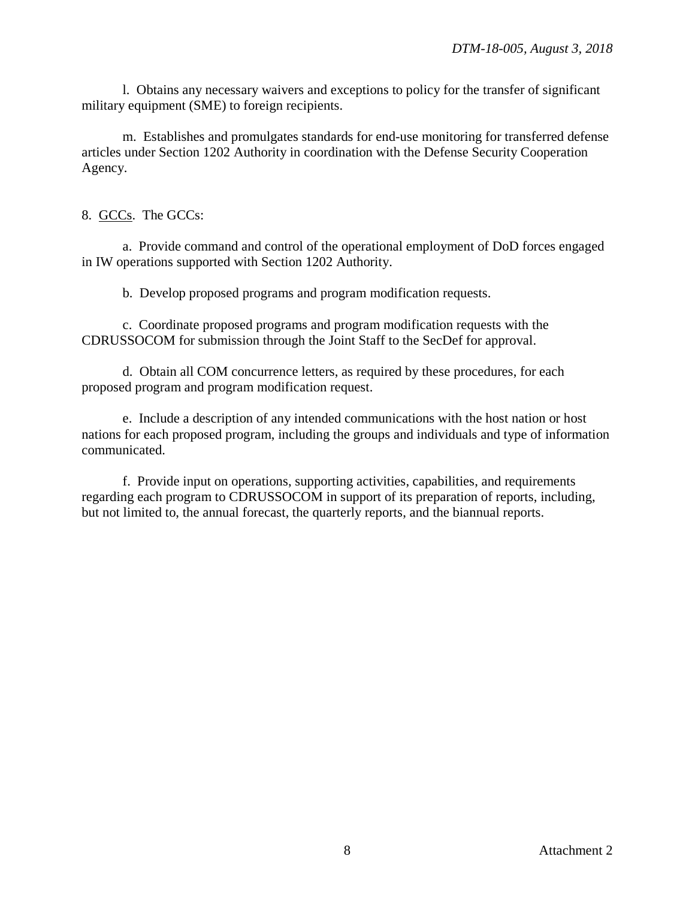l. Obtains any necessary waivers and exceptions to policy for the transfer of significant military equipment (SME) to foreign recipients.

m. Establishes and promulgates standards for end-use monitoring for transferred defense articles under Section 1202 Authority in coordination with the Defense Security Cooperation Agency.

8. GCCs. The GCCs:

a. Provide command and control of the operational employment of DoD forces engaged in IW operations supported with Section 1202 Authority.

b. Develop proposed programs and program modification requests.

c. Coordinate proposed programs and program modification requests with the CDRUSSOCOM for submission through the Joint Staff to the SecDef for approval.

d. Obtain all COM concurrence letters, as required by these procedures, for each proposed program and program modification request.

e. Include a description of any intended communications with the host nation or host nations for each proposed program, including the groups and individuals and type of information communicated.

f. Provide input on operations, supporting activities, capabilities, and requirements regarding each program to CDRUSSOCOM in support of its preparation of reports, including, but not limited to, the annual forecast, the quarterly reports, and the biannual reports.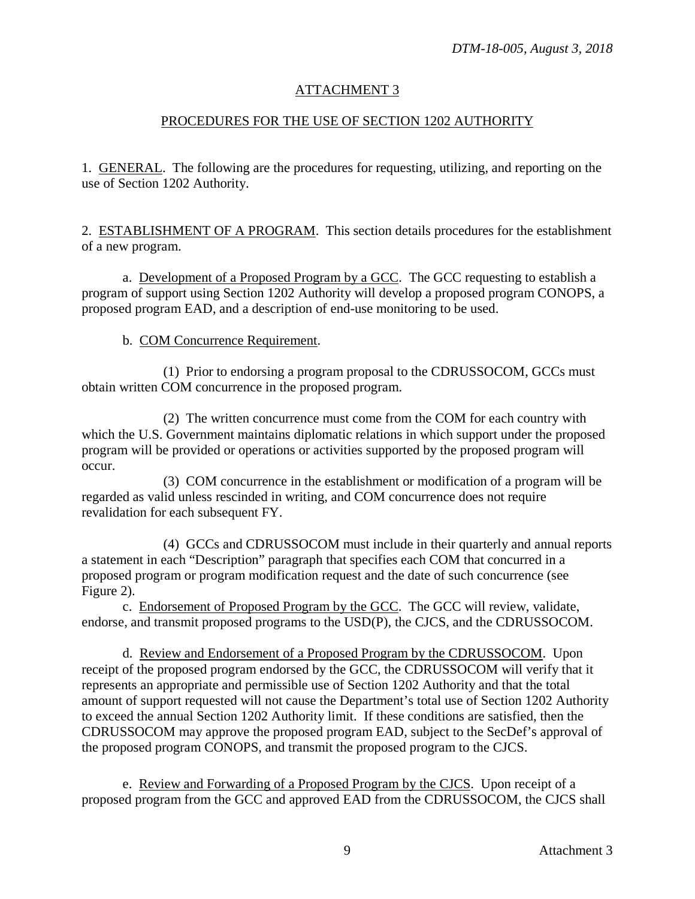# ATTACHMENT 3

## PROCEDURES FOR THE USE OF SECTION 1202 AUTHORITY

1. GENERAL. The following are the procedures for requesting, utilizing, and reporting on the use of Section 1202 Authority.

2. ESTABLISHMENT OF A PROGRAM. This section details procedures for the establishment of a new program.

a. Development of a Proposed Program by a GCC. The GCC requesting to establish a program of support using Section 1202 Authority will develop a proposed program CONOPS, a proposed program EAD, and a description of end-use monitoring to be used.

#### b. COM Concurrence Requirement.

(1) Prior to endorsing a program proposal to the CDRUSSOCOM, GCCs must obtain written COM concurrence in the proposed program.

(2) The written concurrence must come from the COM for each country with which the U.S. Government maintains diplomatic relations in which support under the proposed program will be provided or operations or activities supported by the proposed program will occur.

(3) COM concurrence in the establishment or modification of a program will be regarded as valid unless rescinded in writing, and COM concurrence does not require revalidation for each subsequent FY.

(4) GCCs and CDRUSSOCOM must include in their quarterly and annual reports a statement in each "Description" paragraph that specifies each COM that concurred in a proposed program or program modification request and the date of such concurrence (see Figure 2).

c. Endorsement of Proposed Program by the GCC. The GCC will review, validate, endorse, and transmit proposed programs to the USD(P), the CJCS, and the CDRUSSOCOM.

d. Review and Endorsement of a Proposed Program by the CDRUSSOCOM. Upon receipt of the proposed program endorsed by the GCC, the CDRUSSOCOM will verify that it represents an appropriate and permissible use of Section 1202 Authority and that the total amount of support requested will not cause the Department's total use of Section 1202 Authority to exceed the annual Section 1202 Authority limit. If these conditions are satisfied, then the CDRUSSOCOM may approve the proposed program EAD, subject to the SecDef's approval of the proposed program CONOPS, and transmit the proposed program to the CJCS.

e. Review and Forwarding of a Proposed Program by the CJCS. Upon receipt of a proposed program from the GCC and approved EAD from the CDRUSSOCOM, the CJCS shall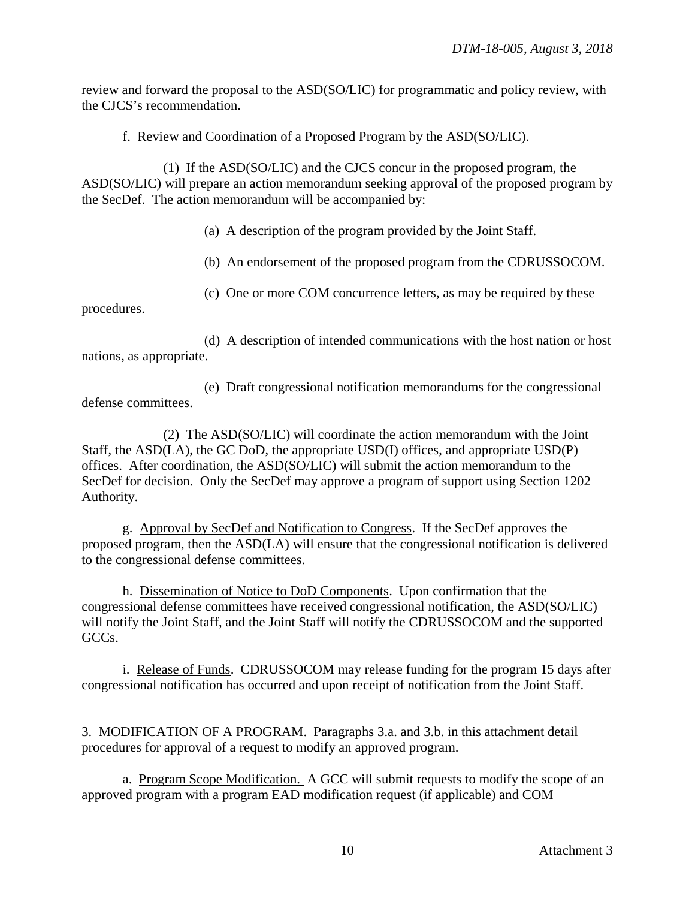review and forward the proposal to the ASD(SO/LIC) for programmatic and policy review, with the CJCS's recommendation.

## f. Review and Coordination of a Proposed Program by the ASD(SO/LIC).

(1) If the ASD(SO/LIC) and the CJCS concur in the proposed program, the ASD(SO/LIC) will prepare an action memorandum seeking approval of the proposed program by the SecDef. The action memorandum will be accompanied by:

(a) A description of the program provided by the Joint Staff.

(b) An endorsement of the proposed program from the CDRUSSOCOM.

(c) One or more COM concurrence letters, as may be required by these

procedures.

(d) A description of intended communications with the host nation or host nations, as appropriate.

(e) Draft congressional notification memorandums for the congressional defense committees.

(2) The ASD(SO/LIC) will coordinate the action memorandum with the Joint Staff, the ASD(LA), the GC DoD, the appropriate USD(I) offices, and appropriate USD(P) offices. After coordination, the ASD(SO/LIC) will submit the action memorandum to the SecDef for decision. Only the SecDef may approve a program of support using Section 1202 Authority.

g. Approval by SecDef and Notification to Congress. If the SecDef approves the proposed program, then the ASD(LA) will ensure that the congressional notification is delivered to the congressional defense committees.

h. Dissemination of Notice to DoD Components. Upon confirmation that the congressional defense committees have received congressional notification, the ASD(SO/LIC) will notify the Joint Staff, and the Joint Staff will notify the CDRUSSOCOM and the supported GCCs.

i. Release of Funds. CDRUSSOCOM may release funding for the program 15 days after congressional notification has occurred and upon receipt of notification from the Joint Staff.

3. MODIFICATION OF A PROGRAM. Paragraphs 3.a. and 3.b. in this attachment detail procedures for approval of a request to modify an approved program.

a. Program Scope Modification. A GCC will submit requests to modify the scope of an approved program with a program EAD modification request (if applicable) and COM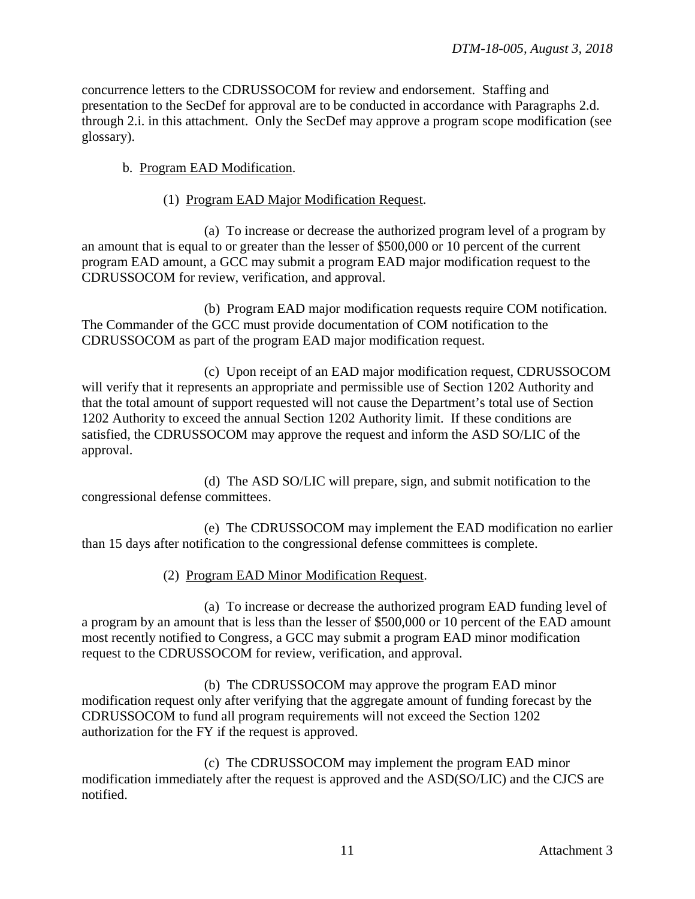concurrence letters to the CDRUSSOCOM for review and endorsement. Staffing and presentation to the SecDef for approval are to be conducted in accordance with Paragraphs 2.d. through 2.i. in this attachment. Only the SecDef may approve a program scope modification (see glossary).

#### b. Program EAD Modification.

#### (1) Program EAD Major Modification Request.

(a) To increase or decrease the authorized program level of a program by an amount that is equal to or greater than the lesser of \$500,000 or 10 percent of the current program EAD amount, a GCC may submit a program EAD major modification request to the CDRUSSOCOM for review, verification, and approval.

(b) Program EAD major modification requests require COM notification. The Commander of the GCC must provide documentation of COM notification to the CDRUSSOCOM as part of the program EAD major modification request.

(c) Upon receipt of an EAD major modification request, CDRUSSOCOM will verify that it represents an appropriate and permissible use of Section 1202 Authority and that the total amount of support requested will not cause the Department's total use of Section 1202 Authority to exceed the annual Section 1202 Authority limit. If these conditions are satisfied, the CDRUSSOCOM may approve the request and inform the ASD SO/LIC of the approval.

(d) The ASD SO/LIC will prepare, sign, and submit notification to the congressional defense committees.

(e) The CDRUSSOCOM may implement the EAD modification no earlier than 15 days after notification to the congressional defense committees is complete.

(2) Program EAD Minor Modification Request.

(a) To increase or decrease the authorized program EAD funding level of a program by an amount that is less than the lesser of \$500,000 or 10 percent of the EAD amount most recently notified to Congress, a GCC may submit a program EAD minor modification request to the CDRUSSOCOM for review, verification, and approval.

(b) The CDRUSSOCOM may approve the program EAD minor modification request only after verifying that the aggregate amount of funding forecast by the CDRUSSOCOM to fund all program requirements will not exceed the Section 1202 authorization for the FY if the request is approved.

(c) The CDRUSSOCOM may implement the program EAD minor modification immediately after the request is approved and the ASD(SO/LIC) and the CJCS are notified.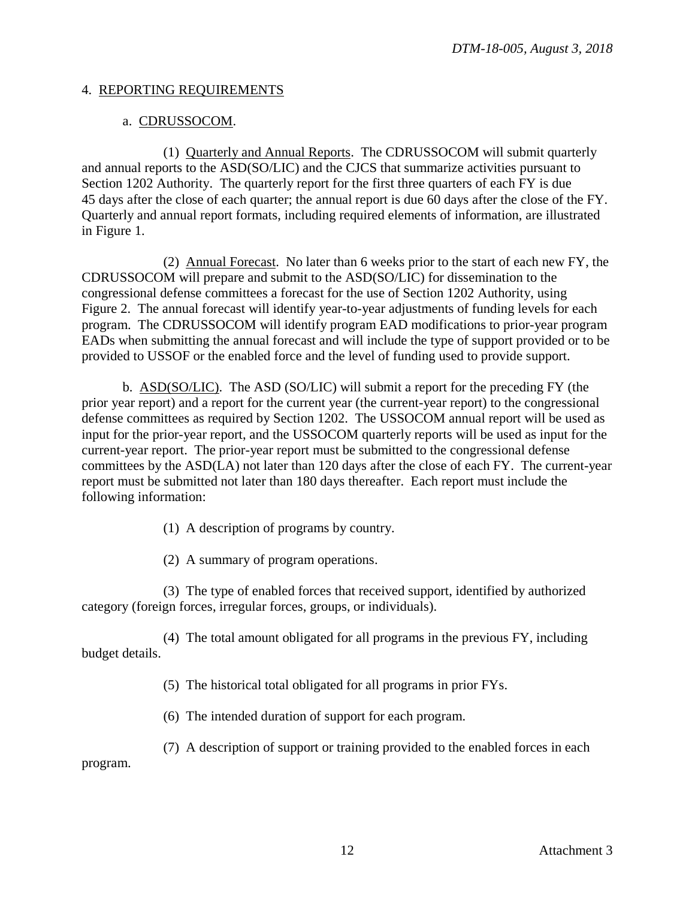#### 4. REPORTING REQUIREMENTS

### a. CDRUSSOCOM.

(1) Quarterly and Annual Reports. The CDRUSSOCOM will submit quarterly and annual reports to the ASD(SO/LIC) and the CJCS that summarize activities pursuant to Section 1202 Authority. The quarterly report for the first three quarters of each FY is due 45 days after the close of each quarter; the annual report is due 60 days after the close of the FY. Quarterly and annual report formats, including required elements of information, are illustrated in Figure 1.

(2) Annual Forecast. No later than 6 weeks prior to the start of each new FY, the CDRUSSOCOM will prepare and submit to the ASD(SO/LIC) for dissemination to the congressional defense committees a forecast for the use of Section 1202 Authority, using Figure 2. The annual forecast will identify year-to-year adjustments of funding levels for each program. The CDRUSSOCOM will identify program EAD modifications to prior-year program EADs when submitting the annual forecast and will include the type of support provided or to be provided to USSOF or the enabled force and the level of funding used to provide support.

b. ASD(SO/LIC). The ASD (SO/LIC) will submit a report for the preceding FY (the prior year report) and a report for the current year (the current-year report) to the congressional defense committees as required by Section 1202. The USSOCOM annual report will be used as input for the prior-year report, and the USSOCOM quarterly reports will be used as input for the current-year report. The prior-year report must be submitted to the congressional defense committees by the ASD(LA) not later than 120 days after the close of each FY. The current-year report must be submitted not later than 180 days thereafter. Each report must include the following information:

(1) A description of programs by country.

(2) A summary of program operations.

(3) The type of enabled forces that received support, identified by authorized category (foreign forces, irregular forces, groups, or individuals).

(4) The total amount obligated for all programs in the previous FY, including budget details.

(5) The historical total obligated for all programs in prior FYs.

(6) The intended duration of support for each program.

(7) A description of support or training provided to the enabled forces in each program.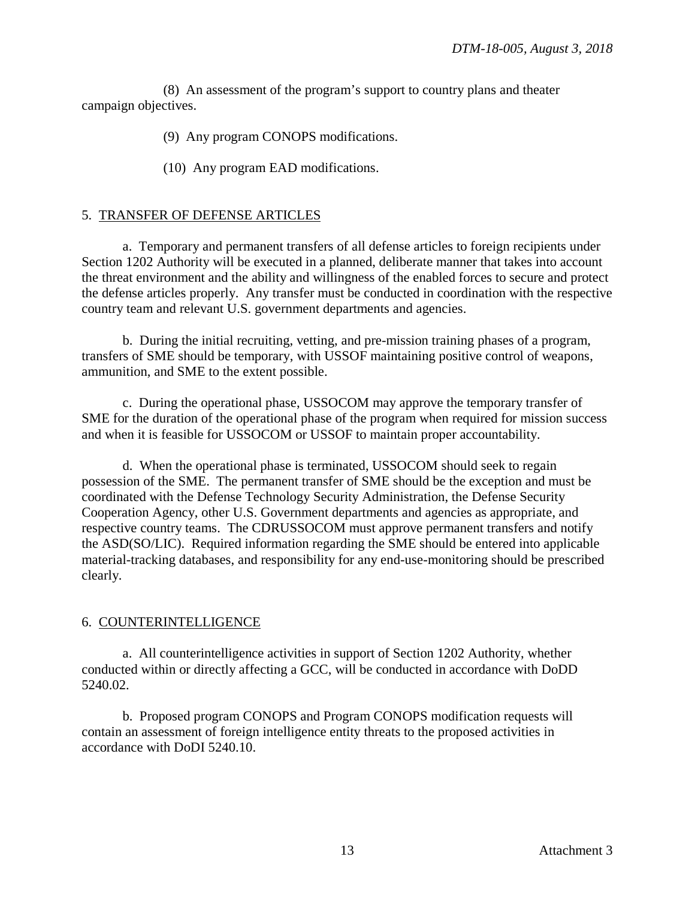(8) An assessment of the program's support to country plans and theater campaign objectives.

(9) Any program CONOPS modifications.

(10) Any program EAD modifications.

# 5. TRANSFER OF DEFENSE ARTICLES

a. Temporary and permanent transfers of all defense articles to foreign recipients under Section 1202 Authority will be executed in a planned, deliberate manner that takes into account the threat environment and the ability and willingness of the enabled forces to secure and protect the defense articles properly. Any transfer must be conducted in coordination with the respective country team and relevant U.S. government departments and agencies.

b. During the initial recruiting, vetting, and pre-mission training phases of a program, transfers of SME should be temporary, with USSOF maintaining positive control of weapons, ammunition, and SME to the extent possible.

c. During the operational phase, USSOCOM may approve the temporary transfer of SME for the duration of the operational phase of the program when required for mission success and when it is feasible for USSOCOM or USSOF to maintain proper accountability.

d. When the operational phase is terminated, USSOCOM should seek to regain possession of the SME. The permanent transfer of SME should be the exception and must be coordinated with the Defense Technology Security Administration, the Defense Security Cooperation Agency, other U.S. Government departments and agencies as appropriate, and respective country teams. The CDRUSSOCOM must approve permanent transfers and notify the ASD(SO/LIC). Required information regarding the SME should be entered into applicable material-tracking databases, and responsibility for any end-use-monitoring should be prescribed clearly.

# 6. COUNTERINTELLIGENCE

a. All counterintelligence activities in support of Section 1202 Authority, whether conducted within or directly affecting a GCC, will be conducted in accordance with DoDD 5240.02.

b. Proposed program CONOPS and Program CONOPS modification requests will contain an assessment of foreign intelligence entity threats to the proposed activities in accordance with DoDI 5240.10.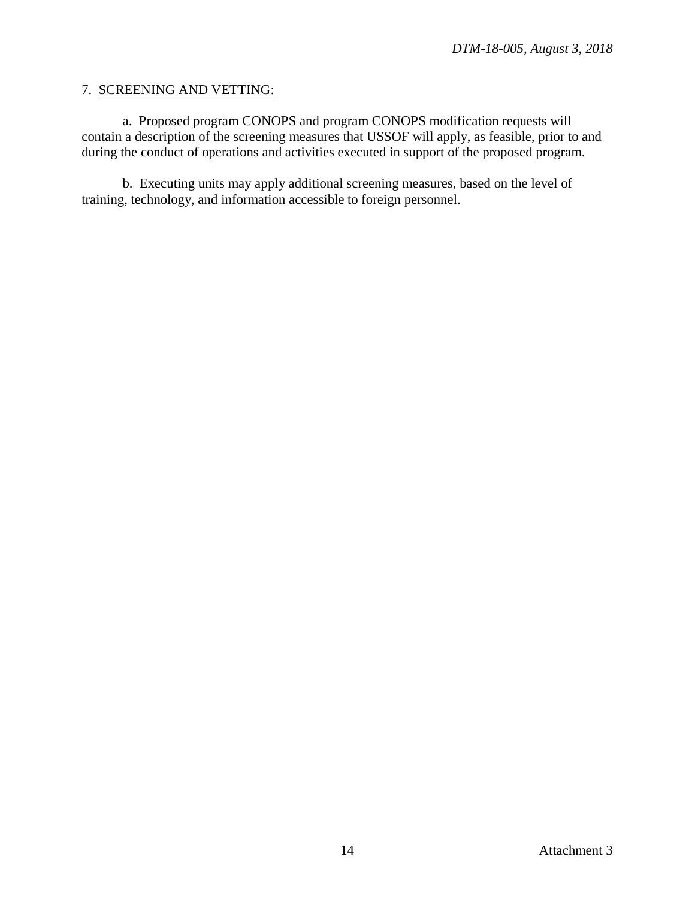#### 7. SCREENING AND VETTING:

a. Proposed program CONOPS and program CONOPS modification requests will contain a description of the screening measures that USSOF will apply, as feasible, prior to and during the conduct of operations and activities executed in support of the proposed program.

b. Executing units may apply additional screening measures, based on the level of training, technology, and information accessible to foreign personnel.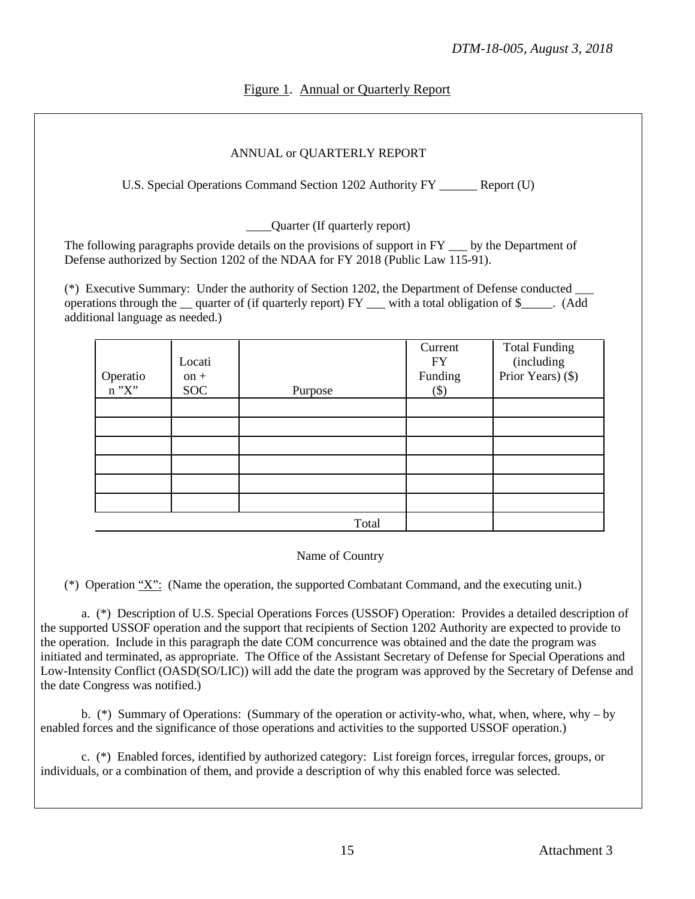# Figure 1. Annual or Quarterly Report

## ANNUAL or QUARTERLY REPORT

U.S. Special Operations Command Section 1202 Authority FY Report (U)

Quarter (If quarterly report)

The following paragraphs provide details on the provisions of support in FY by the Department of Defense authorized by Section 1202 of the NDAA for FY 2018 (Public Law 115-91).

(\*) Executive Summary: Under the authority of Section 1202, the Department of Defense conducted \_\_\_ operations through the \_\_ quarter of (if quarterly report) FY \_\_\_ with a total obligation of \$\_\_\_\_\_. (Add additional language as needed.)

| Operatio<br>n "X" | Locati<br>$on +$<br><b>SOC</b> | Purpose | Current<br><b>FY</b><br>Funding<br>$(\$)$ | <b>Total Funding</b><br>(including<br>Prior Years) (\$) |
|-------------------|--------------------------------|---------|-------------------------------------------|---------------------------------------------------------|
|                   |                                |         |                                           |                                                         |
|                   |                                |         |                                           |                                                         |
|                   |                                |         |                                           |                                                         |
|                   |                                |         |                                           |                                                         |
|                   |                                |         |                                           |                                                         |
|                   |                                |         |                                           |                                                         |
|                   |                                | Total   |                                           |                                                         |

Name of Country

(\*) Operation "X": (Name the operation, the supported Combatant Command, and the executing unit.)

 a. (\*) Description of U.S. Special Operations Forces (USSOF) Operation: Provides a detailed description of the supported USSOF operation and the support that recipients of Section 1202 Authority are expected to provide to the operation. Include in this paragraph the date COM concurrence was obtained and the date the program was initiated and terminated, as appropriate. The Office of the Assistant Secretary of Defense for Special Operations and Low-Intensity Conflict (OASD(SO/LIC)) will add the date the program was approved by the Secretary of Defense and the date Congress was notified.)

 b. (\*) Summary of Operations: (Summary of the operation or activity-who, what, when, where, why – by enabled forces and the significance of those operations and activities to the supported USSOF operation.)

c. (\*) Enabled forces, identified by authorized category: List foreign forces, irregular forces, groups, or individuals, or a combination of them, and provide a description of why this enabled force was selected.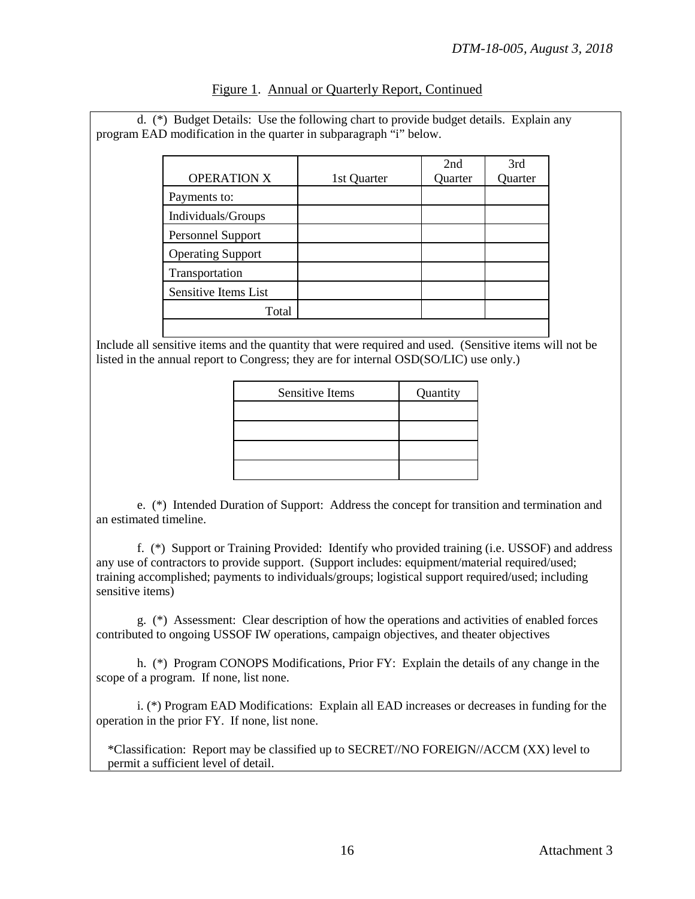|                          |             | 2nd     | 3rd     |
|--------------------------|-------------|---------|---------|
| <b>OPERATION X</b>       | 1st Quarter | Quarter | Quarter |
| Payments to:             |             |         |         |
| Individuals/Groups       |             |         |         |
| Personnel Support        |             |         |         |
| <b>Operating Support</b> |             |         |         |
| Transportation           |             |         |         |
| Sensitive Items List     |             |         |         |
| Total                    |             |         |         |

| Figure 1. Annual or Quarterly Report, Continued |
|-------------------------------------------------|
|-------------------------------------------------|

program EAD modification in the quarter in subparagraph "i" below.

d. (\*) Budget Details: Use the following chart to provide budget details. Explain any

Include all sensitive items and the quantity that were required and used. (Sensitive items will not be listed in the annual report to Congress; they are for internal OSD(SO/LIC) use only.)

| <b>Sensitive Items</b> | Quantity |
|------------------------|----------|
|                        |          |
|                        |          |
|                        |          |
|                        |          |

 e. (\*) Intended Duration of Support: Address the concept for transition and termination and an estimated timeline.

f. (\*) Support or Training Provided: Identify who provided training (i.e. USSOF) and address any use of contractors to provide support. (Support includes: equipment/material required/used; training accomplished; payments to individuals/groups; logistical support required/used; including sensitive *items*)

g. (\*) Assessment: Clear description of how the operations and activities of enabled forces contributed to ongoing USSOF IW operations, campaign objectives, and theater objectives

 h. (\*) Program CONOPS Modifications, Prior FY: Explain the details of any change in the scope of a program. If none, list none.

 i. (\*) Program EAD Modifications: Explain all EAD increases or decreases in funding for the operation in the prior FY. If none, list none.

\*Classification: Report may be classified up to SECRET//NO FOREIGN//ACCM (XX) level to permit a sufficient level of detail.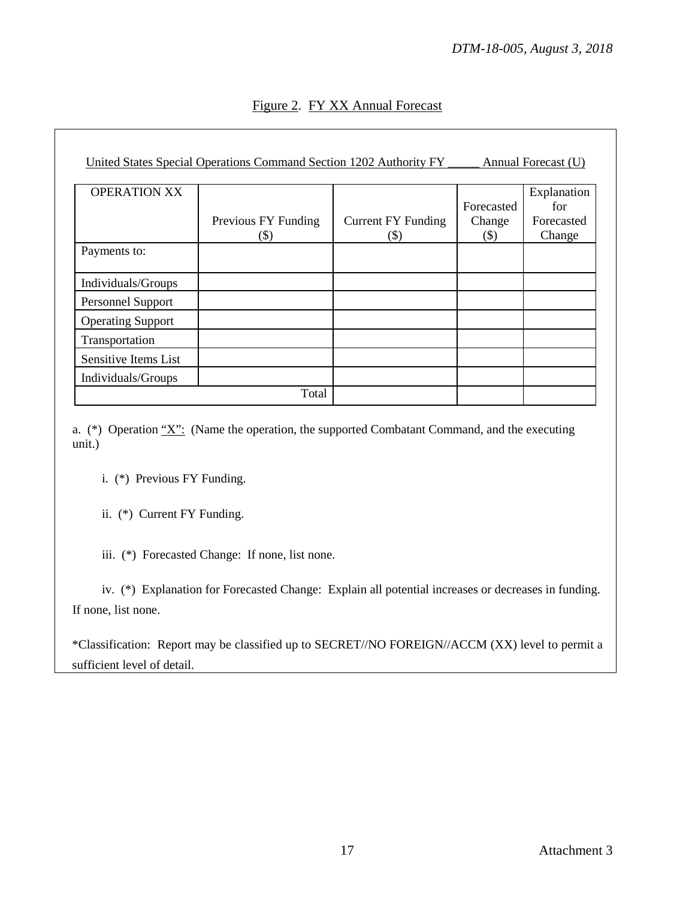| Figure 2. FY XX Annual Forecast |
|---------------------------------|
|                                 |

|                          | United States Special Operations Command Section 1202 Authority FY |                                      |                                | Annual Forecast (U)                        |
|--------------------------|--------------------------------------------------------------------|--------------------------------------|--------------------------------|--------------------------------------------|
| <b>OPERATION XX</b>      | Previous FY Funding<br>(\$)                                        | <b>Current FY Funding</b><br>$($ \$) | Forecasted<br>Change<br>$(\$)$ | Explanation<br>for<br>Forecasted<br>Change |
| Payments to:             |                                                                    |                                      |                                |                                            |
| Individuals/Groups       |                                                                    |                                      |                                |                                            |
| <b>Personnel Support</b> |                                                                    |                                      |                                |                                            |
| <b>Operating Support</b> |                                                                    |                                      |                                |                                            |
| Transportation           |                                                                    |                                      |                                |                                            |
| Sensitive Items List     |                                                                    |                                      |                                |                                            |
| Individuals/Groups       |                                                                    |                                      |                                |                                            |
|                          | Total                                                              |                                      |                                |                                            |

a.  $(*)$  Operation  $''X''$ : (Name the operation, the supported Combatant Command, and the executing unit.)

i. (\*) Previous FY Funding.

ii. (\*) Current FY Funding.

iii. (\*) Forecasted Change: If none, list none.

 iv. (\*) Explanation for Forecasted Change: Explain all potential increases or decreases in funding. If none, list none.

\*Classification: Report may be classified up to SECRET//NO FOREIGN//ACCM (XX) level to permit a sufficient level of detail.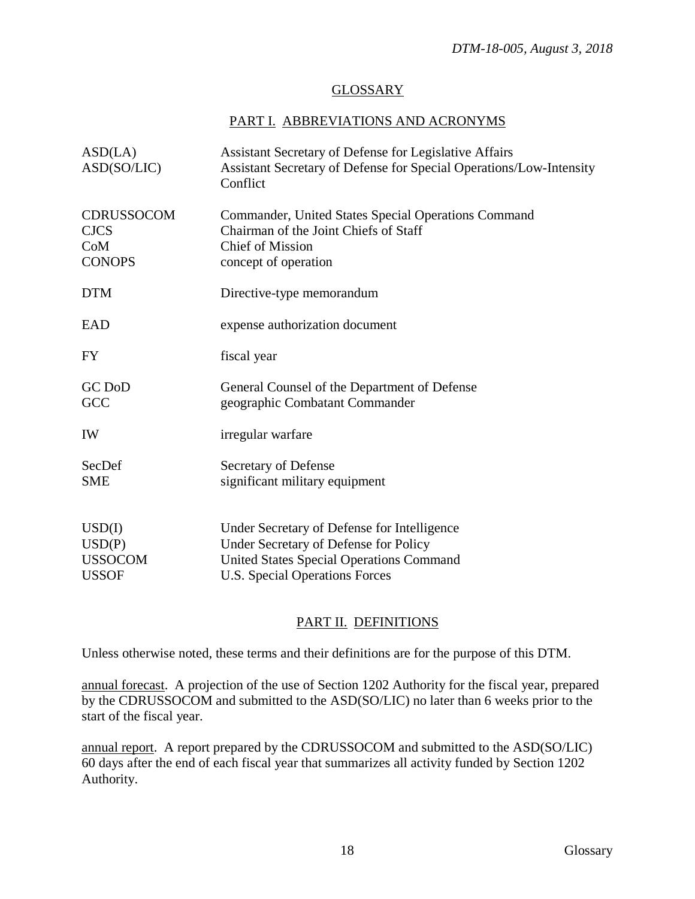## GLOSSARY

# PART I. ABBREVIATIONS AND ACRONYMS

| ASD(LA)<br>ASD(SO/LIC)                                   | Assistant Secretary of Defense for Legislative Affairs<br>Assistant Secretary of Defense for Special Operations/Low-Intensity<br>Conflict                                 |
|----------------------------------------------------------|---------------------------------------------------------------------------------------------------------------------------------------------------------------------------|
| <b>CDRUSSOCOM</b><br><b>CJCS</b><br>CoM<br><b>CONOPS</b> | Commander, United States Special Operations Command<br>Chairman of the Joint Chiefs of Staff<br><b>Chief of Mission</b><br>concept of operation                           |
| <b>DTM</b>                                               | Directive-type memorandum                                                                                                                                                 |
| EAD                                                      | expense authorization document                                                                                                                                            |
| FY                                                       | fiscal year                                                                                                                                                               |
| <b>GC</b> DoD<br>GCC                                     | General Counsel of the Department of Defense<br>geographic Combatant Commander                                                                                            |
| IW                                                       | irregular warfare                                                                                                                                                         |
| SecDef<br><b>SME</b>                                     | Secretary of Defense<br>significant military equipment                                                                                                                    |
| USD(I)<br>USD(P)<br><b>USSOCOM</b><br><b>USSOF</b>       | Under Secretary of Defense for Intelligence<br>Under Secretary of Defense for Policy<br><b>United States Special Operations Command</b><br>U.S. Special Operations Forces |

# PART II. DEFINITIONS

Unless otherwise noted, these terms and their definitions are for the purpose of this DTM.

annual forecast. A projection of the use of Section 1202 Authority for the fiscal year, prepared by the CDRUSSOCOM and submitted to the ASD(SO/LIC) no later than 6 weeks prior to the start of the fiscal year.

annual report. A report prepared by the CDRUSSOCOM and submitted to the ASD(SO/LIC) 60 days after the end of each fiscal year that summarizes all activity funded by Section 1202 Authority.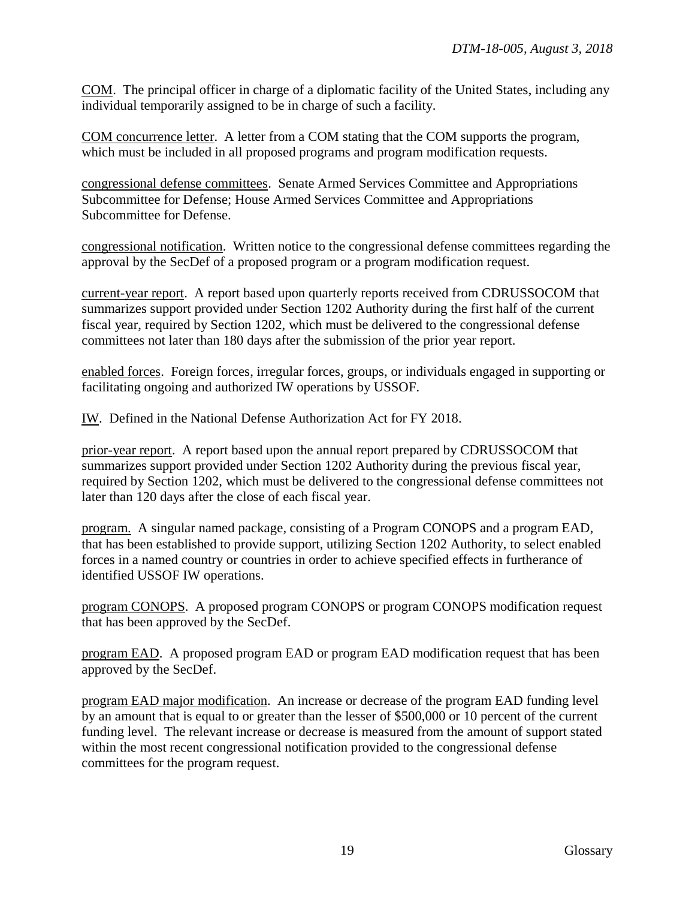COM. The principal officer in charge of a diplomatic facility of the United States, including any individual temporarily assigned to be in charge of such a facility.

COM concurrence letter. A letter from a COM stating that the COM supports the program, which must be included in all proposed programs and program modification requests.

congressional defense committees. Senate Armed Services Committee and Appropriations Subcommittee for Defense; House Armed Services Committee and Appropriations Subcommittee for Defense.

congressional notification. Written notice to the congressional defense committees regarding the approval by the SecDef of a proposed program or a program modification request.

current-year report. A report based upon quarterly reports received from CDRUSSOCOM that summarizes support provided under Section 1202 Authority during the first half of the current fiscal year, required by Section 1202, which must be delivered to the congressional defense committees not later than 180 days after the submission of the prior year report.

enabled forces. Foreign forces, irregular forces, groups, or individuals engaged in supporting or facilitating ongoing and authorized IW operations by USSOF.

IW. Defined in the National Defense Authorization Act for FY 2018.

prior-year report. A report based upon the annual report prepared by CDRUSSOCOM that summarizes support provided under Section 1202 Authority during the previous fiscal year, required by Section 1202, which must be delivered to the congressional defense committees not later than 120 days after the close of each fiscal year.

program. A singular named package, consisting of a Program CONOPS and a program EAD, that has been established to provide support, utilizing Section 1202 Authority, to select enabled forces in a named country or countries in order to achieve specified effects in furtherance of identified USSOF IW operations.

program CONOPS. A proposed program CONOPS or program CONOPS modification request that has been approved by the SecDef.

program EAD. A proposed program EAD or program EAD modification request that has been approved by the SecDef.

program EAD major modification. An increase or decrease of the program EAD funding level by an amount that is equal to or greater than the lesser of \$500,000 or 10 percent of the current funding level. The relevant increase or decrease is measured from the amount of support stated within the most recent congressional notification provided to the congressional defense committees for the program request.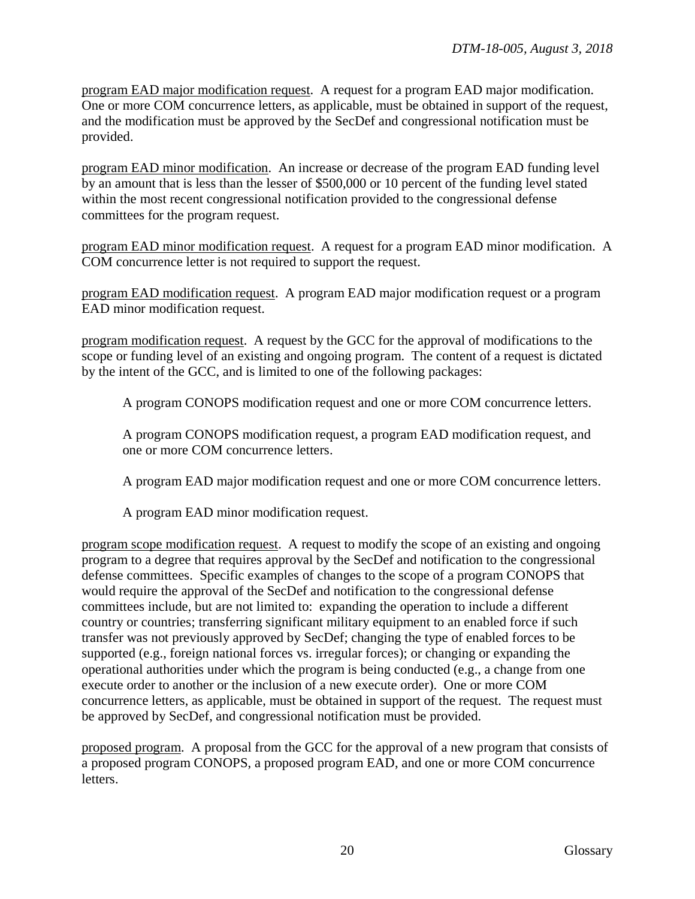program EAD major modification request. A request for a program EAD major modification. One or more COM concurrence letters, as applicable, must be obtained in support of the request, and the modification must be approved by the SecDef and congressional notification must be provided.

program EAD minor modification. An increase or decrease of the program EAD funding level by an amount that is less than the lesser of \$500,000 or 10 percent of the funding level stated within the most recent congressional notification provided to the congressional defense committees for the program request.

program EAD minor modification request. A request for a program EAD minor modification. A COM concurrence letter is not required to support the request.

program EAD modification request. A program EAD major modification request or a program EAD minor modification request.

program modification request. A request by the GCC for the approval of modifications to the scope or funding level of an existing and ongoing program. The content of a request is dictated by the intent of the GCC, and is limited to one of the following packages:

A program CONOPS modification request and one or more COM concurrence letters.

A program CONOPS modification request, a program EAD modification request, and one or more COM concurrence letters.

A program EAD major modification request and one or more COM concurrence letters.

A program EAD minor modification request.

program scope modification request. A request to modify the scope of an existing and ongoing program to a degree that requires approval by the SecDef and notification to the congressional defense committees. Specific examples of changes to the scope of a program CONOPS that would require the approval of the SecDef and notification to the congressional defense committees include, but are not limited to: expanding the operation to include a different country or countries; transferring significant military equipment to an enabled force if such transfer was not previously approved by SecDef; changing the type of enabled forces to be supported (e.g., foreign national forces vs. irregular forces); or changing or expanding the operational authorities under which the program is being conducted (e.g., a change from one execute order to another or the inclusion of a new execute order). One or more COM concurrence letters, as applicable, must be obtained in support of the request. The request must be approved by SecDef, and congressional notification must be provided.

proposed program. A proposal from the GCC for the approval of a new program that consists of a proposed program CONOPS, a proposed program EAD, and one or more COM concurrence letters.